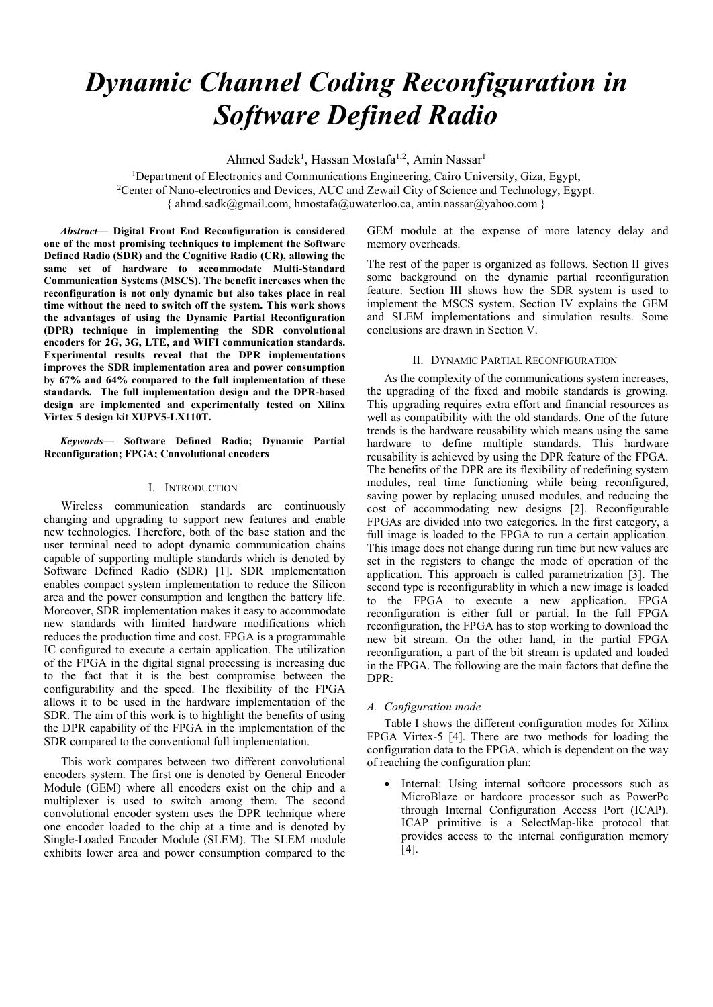# *Dynamic Channel Coding Reconfiguration in Software Defined Radio*

Ahmed Sadek<sup>1</sup>, Hassan Mostafa<sup>1,2</sup>, Amin Nassar<sup>1</sup>

<sup>1</sup>Department of Electronics and Communications Engineering, Cairo University, Giza, Egypt, 2 Center of Nano-electronics and Devices, AUC and Zewail City of Science and Technology, Egypt. { ahmd.sadk@gmail.com, hmostafa@uwaterloo.ca, amin.nassar@yahoo.com }

*Abstract—* **Digital Front End Reconfiguration is considered one of the most promising techniques to implement the Software Defined Radio (SDR) and the Cognitive Radio (CR), allowing the same set of hardware to accommodate Multi-Standard Communication Systems (MSCS). The benefit increases when the reconfiguration is not only dynamic but also takes place in real time without the need to switch off the system. This work shows the advantages of using the Dynamic Partial Reconfiguration (DPR) technique in implementing the SDR convolutional encoders for 2G, 3G, LTE, and WIFI communication standards. Experimental results reveal that the DPR implementations improves the SDR implementation area and power consumption by 67% and 64% compared to the full implementation of these standards. The full implementation design and the DPR-based design are implemented and experimentally tested on Xilinx Virtex 5 design kit XUPV5-LX110T.**

*Keywords—* **Software Defined Radio; Dynamic Partial Reconfiguration; FPGA; Convolutional encoders**

## I. INTRODUCTION

Wireless communication standards are continuously changing and upgrading to support new features and enable new technologies. Therefore, both of the base station and the user terminal need to adopt dynamic communication chains capable of supporting multiple standards which is denoted by Software Defined Radio (SDR) [1]. SDR implementation enables compact system implementation to reduce the Silicon area and the power consumption and lengthen the battery life. Moreover, SDR implementation makes it easy to accommodate new standards with limited hardware modifications which reduces the production time and cost. FPGA is a programmable IC configured to execute a certain application. The utilization of the FPGA in the digital signal processing is increasing due to the fact that it is the best compromise between the configurability and the speed. The flexibility of the FPGA allows it to be used in the hardware implementation of the SDR. The aim of this work is to highlight the benefits of using the DPR capability of the FPGA in the implementation of the SDR compared to the conventional full implementation.

This work compares between two different convolutional encoders system. The first one is denoted by General Encoder Module (GEM) where all encoders exist on the chip and a multiplexer is used to switch among them. The second convolutional encoder system uses the DPR technique where one encoder loaded to the chip at a time and is denoted by Single-Loaded Encoder Module (SLEM). The SLEM module exhibits lower area and power consumption compared to the

GEM module at the expense of more latency delay and memory overheads.

The rest of the paper is organized as follows. Section II gives some background on the dynamic partial reconfiguration feature. Section III shows how the SDR system is used to implement the MSCS system. Section IV explains the GEM and SLEM implementations and simulation results. Some conclusions are drawn in Section V.

# II. DYNAMIC PARTIAL RECONFIGURATION

As the complexity of the communications system increases, the upgrading of the fixed and mobile standards is growing. This upgrading requires extra effort and financial resources as well as compatibility with the old standards. One of the future trends is the hardware reusability which means using the same hardware to define multiple standards. This hardware reusability is achieved by using the DPR feature of the FPGA. The benefits of the DPR are its flexibility of redefining system modules, real time functioning while being reconfigured, saving power by replacing unused modules, and reducing the cost of accommodating new designs [2]. Reconfigurable FPGAs are divided into two categories. In the first category, a full image is loaded to the FPGA to run a certain application. This image does not change during run time but new values are set in the registers to change the mode of operation of the application. This approach is called parametrization [3]. The second type is reconfigurablity in which a new image is loaded to the FPGA to execute a new application. FPGA reconfiguration is either full or partial. In the full FPGA reconfiguration, the FPGA has to stop working to download the new bit stream. On the other hand, in the partial FPGA reconfiguration, a part of the bit stream is updated and loaded in the FPGA. The following are the main factors that define the DPR:

# *A. Configuration mode*

Table I shows the different configuration modes for Xilinx FPGA Virtex-5 [4]. There are two methods for loading the configuration data to the FPGA, which is dependent on the way of reaching the configuration plan:

• Internal: Using internal softcore processors such as MicroBlaze or hardcore processor such as PowerPc through Internal Configuration Access Port (ICAP). ICAP primitive is a SelectMap-like protocol that provides access to the internal configuration memory [4].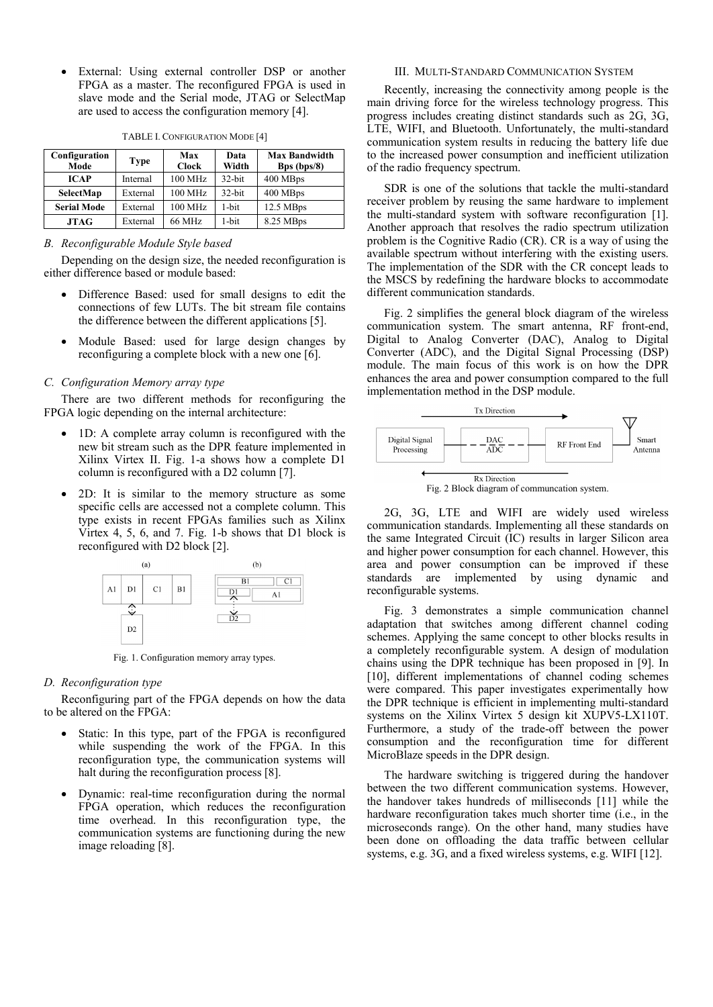• External: Using external controller DSP or another FPGA as a master. The reconfigured FPGA is used in slave mode and the Serial mode, JTAG or SelectMap are used to access the configuration memory [4].

| Configuration<br>Mode | Type     | Max<br><b>Clock</b> | Data<br>Width | <b>Max Bandwidth</b><br>Bps (bps/8) |
|-----------------------|----------|---------------------|---------------|-------------------------------------|
| <b>ICAP</b>           | Internal | 100 MHz             | $32$ -bit     | 400 MBps                            |
| SelectMap             | External | 100 MHz             | $32$ -bit     | 400 MBps                            |
| <b>Serial Mode</b>    | External | 100 MHz             | $1 - bit$     | 12.5 MBps                           |
| <b>JTAG</b>           | External | 66 MHz              | $1 - bit$     | 8.25 MBps                           |

TABLE I. CONFIGURATION MODE [4]

## *B. Reconfigurable Module Style based*

Depending on the design size, the needed reconfiguration is either difference based or module based:

- Difference Based: used for small designs to edit the connections of few LUTs. The bit stream file contains the difference between the different applications [5].
- Module Based: used for large design changes by reconfiguring a complete block with a new one [6].

# *C. Configuration Memory array type*

There are two different methods for reconfiguring the FPGA logic depending on the internal architecture:

- 1D: A complete array column is reconfigured with the new bit stream such as the DPR feature implemented in Xilinx Virtex II. Fig. 1-a shows how a complete D1 column is reconfigured with a D2 column [7].
- 2D: It is similar to the memory structure as some specific cells are accessed not a complete column. This type exists in recent FPGAs families such as Xilinx Virtex 4, 5, 6, and 7. Fig. 1-b shows that D1 block is reconfigured with D2 block [2].



Fig. 1. Configuration memory array types.

# *D. Reconfiguration type*

Reconfiguring part of the FPGA depends on how the data to be altered on the FPGA:

- Static: In this type, part of the FPGA is reconfigured while suspending the work of the FPGA. In this reconfiguration type, the communication systems will halt during the reconfiguration process [8].
- Dynamic: real-time reconfiguration during the normal FPGA operation, which reduces the reconfiguration time overhead. In this reconfiguration type, the communication systems are functioning during the new image reloading [8].

# III. MULTI-STANDARD COMMUNICATION SYSTEM

Recently, increasing the connectivity among people is the main driving force for the wireless technology progress. This progress includes creating distinct standards such as 2G, 3G, LTE, WIFI, and Bluetooth. Unfortunately, the multi-standard communication system results in reducing the battery life due to the increased power consumption and inefficient utilization of the radio frequency spectrum.

SDR is one of the solutions that tackle the multi-standard receiver problem by reusing the same hardware to implement the multi-standard system with software reconfiguration [1]. Another approach that resolves the radio spectrum utilization problem is the Cognitive Radio (CR). CR is a way of using the available spectrum without interfering with the existing users. The implementation of the SDR with the CR concept leads to the MSCS by redefining the hardware blocks to accommodate different communication standards.

Fig. 2 simplifies the general block diagram of the wireless communication system. The smart antenna, RF front-end, Digital to Analog Converter (DAC), Analog to Digital Converter (ADC), and the Digital Signal Processing (DSP) module. The main focus of this work is on how the DPR enhances the area and power consumption compared to the full implementation method in the DSP module.



Fig. 2 Block diagram of communcation system.

2G, 3G, LTE and WIFI are widely used wireless communication standards. Implementing all these standards on the same Integrated Circuit (IC) results in larger Silicon area and higher power consumption for each channel. However, this area and power consumption can be improved if these standards are implemented by using dynamic and reconfigurable systems.

Fig. 3 demonstrates a simple communication channel adaptation that switches among different channel coding schemes. Applying the same concept to other blocks results in a completely reconfigurable system. A design of modulation chains using the DPR technique has been proposed in [9]. In [10], different implementations of channel coding schemes were compared. This paper investigates experimentally how the DPR technique is efficient in implementing multi-standard systems on the Xilinx Virtex 5 design kit XUPV5-LX110T. Furthermore, a study of the trade-off between the power consumption and the reconfiguration time for different MicroBlaze speeds in the DPR design.

The hardware switching is triggered during the handover between the two different communication systems. However, the handover takes hundreds of milliseconds [11] while the hardware reconfiguration takes much shorter time (i.e., in the microseconds range). On the other hand, many studies have been done on offloading the data traffic between cellular systems, e.g. 3G, and a fixed wireless systems, e.g. WIFI [12].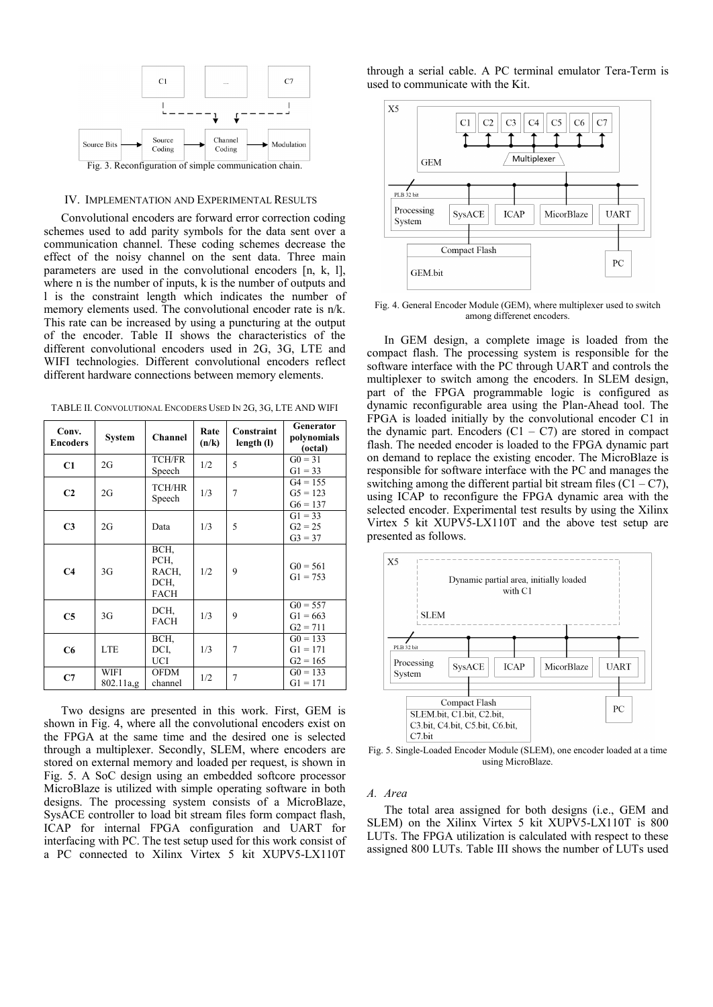

#### IV. IMPLEMENTATION AND EXPERIMENTAL RESULTS

Convolutional encoders are forward error correction coding schemes used to add parity symbols for the data sent over a communication channel. These coding schemes decrease the effect of the noisy channel on the sent data. Three main parameters are used in the convolutional encoders [n, k, l], where n is the number of inputs, k is the number of outputs and l is the constraint length which indicates the number of memory elements used. The convolutional encoder rate is n/k. This rate can be increased by using a puncturing at the output of the encoder. Table II shows the characteristics of the different convolutional encoders used in 2G, 3G, LTE and WIFI technologies. Different convolutional encoders reflect different hardware connections between memory elements.

TABLE II. CONVOLUTIONAL ENCODERS USED IN 2G, 3G, LTE AND WIFI

| Conv.<br><b>Encoders</b> | <b>System</b>     | <b>Channel</b>                               | Rate<br>(n/k) | Constraint<br>length (l) | Generator<br>polynomials<br>(octal)    |
|--------------------------|-------------------|----------------------------------------------|---------------|--------------------------|----------------------------------------|
| C1                       | 2G                | <b>TCH/FR</b><br>Speech                      | 1/2           | 5                        | $G0 = 31$<br>$G1 = 33$                 |
| C <sub>2</sub>           | 2G                | <b>TCH/HR</b><br>Speech                      | 1/3           | $\overline{7}$           | $G4 = 155$<br>$G5 = 123$<br>$G6 = 137$ |
| C <sub>3</sub>           | 2G                | Data                                         | 1/3           | 5                        | $G1 = 33$<br>$G2 = 25$<br>$G3 = 37$    |
| C <sub>4</sub>           | 3G                | BCH,<br>PCH.<br>RACH,<br>DCH,<br><b>FACH</b> | 1/2           | 9                        | $G0 = 561$<br>$G1 = 753$               |
| C <sub>5</sub>           | 3G                | DCH,<br><b>FACH</b>                          | 1/3           | 9                        | $G0 = 557$<br>$G1 = 663$<br>$G2 = 711$ |
| C6                       | <b>LTE</b>        | BCH,<br>DCI.<br>UCI                          | 1/3           | $\overline{7}$           | $G0 = 133$<br>$G1 = 171$<br>$G2 = 165$ |
| C7                       | WIFI<br>802.11a,g | OFDM<br>channel                              | 1/2           | $\overline{7}$           | $G0 = 133$<br>$G1 = 171$               |

Two designs are presented in this work. First, GEM is shown in Fig. 4, where all the convolutional encoders exist on the FPGA at the same time and the desired one is selected through a multiplexer. Secondly, SLEM, where encoders are stored on external memory and loaded per request, is shown in Fig. 5. A SoC design using an embedded softcore processor MicroBlaze is utilized with simple operating software in both designs. The processing system consists of a MicroBlaze, SysACE controller to load bit stream files form compact flash, ICAP for internal FPGA configuration and UART for interfacing with PC. The test setup used for this work consist of a PC connected to Xilinx Virtex 5 kit XUPV5-LX110T

through a serial cable. A PC terminal emulator Tera-Term is used to communicate with the Kit.



Fig. 4. General Encoder Module (GEM), where multiplexer used to switch among differenet encoders.

In GEM design, a complete image is loaded from the compact flash. The processing system is responsible for the software interface with the PC through UART and controls the multiplexer to switch among the encoders. In SLEM design, part of the FPGA programmable logic is configured as dynamic reconfigurable area using the Plan-Ahead tool. The FPGA is loaded initially by the convolutional encoder C1 in the dynamic part. Encoders  $(C1 - C7)$  are stored in compact flash. The needed encoder is loaded to the FPGA dynamic part on demand to replace the existing encoder. The MicroBlaze is responsible for software interface with the PC and manages the switching among the different partial bit stream files  $(C1 - C7)$ , using ICAP to reconfigure the FPGA dynamic area with the selected encoder. Experimental test results by using the Xilinx Virtex 5 kit XUPV5-LX110T and the above test setup are presented as follows.



Fig. 5. Single-Loaded Encoder Module (SLEM), one encoder loaded at a time using MicroBlaze.

# *A. Area*

The total area assigned for both designs (i.e., GEM and SLEM) on the Xilinx Virtex 5 kit XUPV5-LX110T is 800 LUTs. The FPGA utilization is calculated with respect to these assigned 800 LUTs. Table III shows the number of LUTs used